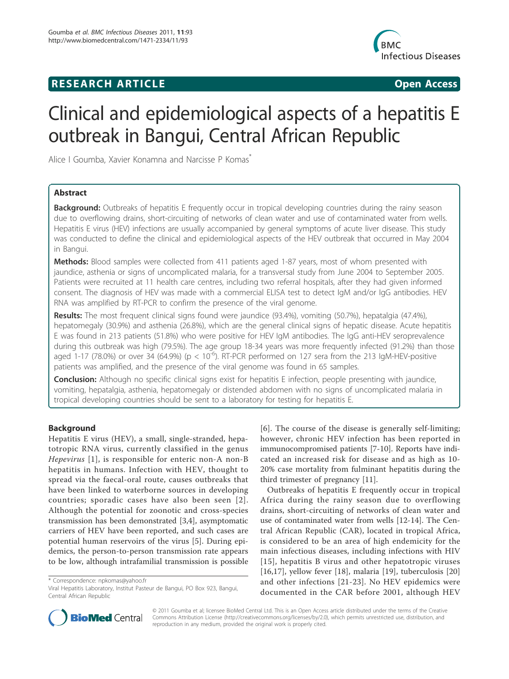# **RESEARCH ARTICLE Example 2018 CONSIDERING ACCESS**



# Clinical and epidemiological aspects of a hepatitis E outbreak in Bangui, Central African Republic

Alice I Goumba, Xavier Konamna and Narcisse P Komas\*

# Abstract

**Background:** Outbreaks of hepatitis E frequently occur in tropical developing countries during the rainy season due to overflowing drains, short-circuiting of networks of clean water and use of contaminated water from wells. Hepatitis E virus (HEV) infections are usually accompanied by general symptoms of acute liver disease. This study was conducted to define the clinical and epidemiological aspects of the HEV outbreak that occurred in May 2004 in Bangui.

**Methods:** Blood samples were collected from 411 patients aged 1-87 years, most of whom presented with jaundice, asthenia or signs of uncomplicated malaria, for a transversal study from June 2004 to September 2005. Patients were recruited at 11 health care centres, including two referral hospitals, after they had given informed consent. The diagnosis of HEV was made with a commercial ELISA test to detect IgM and/or IgG antibodies. HEV RNA was amplified by RT-PCR to confirm the presence of the viral genome.

Results: The most frequent clinical signs found were jaundice (93.4%), vomiting (50.7%), hepatalgia (47.4%), hepatomegaly (30.9%) and asthenia (26.8%), which are the general clinical signs of hepatic disease. Acute hepatitis E was found in 213 patients (51.8%) who were positive for HEV IgM antibodies. The IgG anti-HEV seroprevalence during this outbreak was high (79.5%). The age group 18-34 years was more frequently infected (91.2%) than those aged 1-17 (78.0%) or over 34 (64.9%) (p < 10<sup>-6</sup>). RT-PCR performed on 127 sera from the 213 IgM-HEV-positive patients was amplified, and the presence of the viral genome was found in 65 samples.

**Conclusion:** Although no specific clinical signs exist for hepatitis E infection, people presenting with jaundice, vomiting, hepatalgia, asthenia, hepatomegaly or distended abdomen with no signs of uncomplicated malaria in tropical developing countries should be sent to a laboratory for testing for hepatitis E.

# Background

Hepatitis E virus (HEV), a small, single-stranded, hepatotropic RNA virus, currently classified in the genus Hepevirus [1], is responsible for enteric non-A non-B hepatitis in humans. Infection with HEV, thought to spread via the faecal-oral route, causes outbreaks that have been linked to waterborne sources in developing countries; sporadic cases have also been seen [2]. Although the potential for zoonotic and cross-species transmission has been demonstrated [3,4], asymptomatic carriers of HEV have been reported, and such cases are potential human reservoirs of the virus [5]. During epidemics, the person-to-person transmission rate appears to be low, although intrafamilial transmission is possible

\* Correspondence: npkomas@yahoo.fr

[6]. The course of the disease is generally self-limiting; however, chronic HEV infection has been reported in immunocompromised patients [7-10]. Reports have indicated an increased risk for disease and as high as 10- 20% case mortality from fulminant hepatitis during the third trimester of pregnancy [11].

Outbreaks of hepatitis E frequently occur in tropical Africa during the rainy season due to overflowing drains, short-circuiting of networks of clean water and use of contaminated water from wells [12-14]. The Central African Republic (CAR), located in tropical Africa, is considered to be an area of high endemicity for the main infectious diseases, including infections with HIV [15], hepatitis B virus and other hepatotropic viruses [16,17], yellow fever [18], malaria [19], tuberculosis [20] and other infections [21-23]. No HEV epidemics were documented in the CAR before 2001, although HEV



© 2011 Goumba et al; licensee BioMed Central Ltd. This is an Open Access article distributed under the terms of the Creative Commons Attribution License (http://creativecommons.org/licenses/by/2.0), which permits unrestricted use, distribution, and reproduction in any medium, provided the original work is properly cited.

Viral Hepatitis Laboratory, Institut Pasteur de Bangui, PO Box 923, Bangui, Central African Republic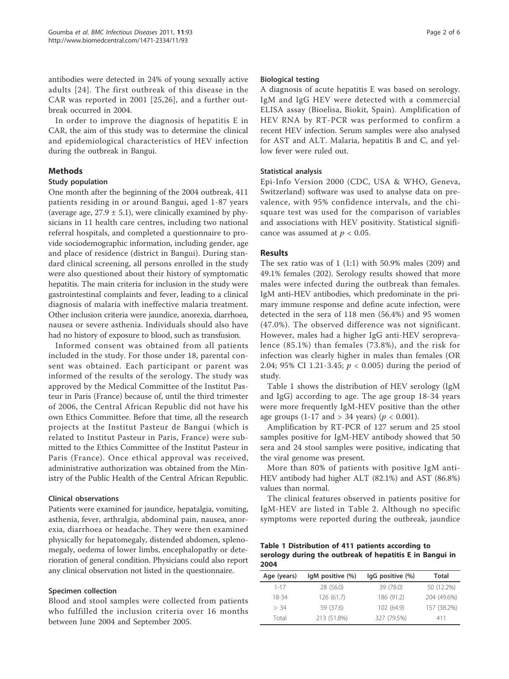antibodies were detected in 24% of young sexually active adults [24]. The first outbreak of this disease in the CAR was reported in 2001 [25,26], and a further outbreak occurred in 2004.

In order to improve the diagnosis of hepatitis E in CAR, the aim of this study was to determine the clinical and epidemiological characteristics of HEV infection during the outbreak in Bangui.

# Methods

# Study population

One month after the beginning of the 2004 outbreak, 411 patients residing in or around Bangui, aged 1-87 years (average age,  $27.9 \pm 5.1$ ), were clinically examined by physicians in 11 health care centres, including two national referral hospitals, and completed a questionnaire to provide sociodemographic information, including gender, age and place of residence (district in Bangui). During standard clinical screening, all persons enrolled in the study were also questioned about their history of symptomatic hepatitis. The main criteria for inclusion in the study were gastrointestinal complaints and fever, leading to a clinical diagnosis of malaria with ineffective malaria treatment. Other inclusion criteria were jaundice, anorexia, diarrhoea, nausea or severe asthenia. Individuals should also have had no history of exposure to blood, such as transfusion.

Informed consent was obtained from all patients included in the study. For those under 18, parental consent was obtained. Each participant or parent was informed of the results of the serology. The study was approved by the Medical Committee of the Institut Pasteur in Paris (France) because of, until the third trimester of 2006, the Central African Republic did not have his own Ethics Committee. Before that time, all the research projects at the Institut Pasteur de Bangui (which is related to Institut Pasteur in Paris, France) were submitted to the Ethics Committee of the Institut Pasteur in Paris (France). Once ethical approval was received, administrative authorization was obtained from the Ministry of the Public Health of the Central African Republic.

# Clinical observations

Patients were examined for jaundice, hepatalgia, vomiting, asthenia, fever, arthralgia, abdominal pain, nausea, anorexia, diarrhoea or headache. They were then examined physically for hepatomegaly, distended abdomen, splenomegaly, oedema of lower limbs, encephalopathy or deterioration of general condition. Physicians could also report any clinical observation not listed in the questionnaire.

#### Specimen collection

Blood and stool samples were collected from patients who fulfilled the inclusion criteria over 16 months between June 2004 and September 2005.

#### Biological testing

A diagnosis of acute hepatitis E was based on serology. IgM and IgG HEV were detected with a commercial ELISA assay (Bioelisa, Biokit, Spain). Amplification of HEV RNA by RT-PCR was performed to confirm a recent HEV infection. Serum samples were also analysed for AST and ALT. Malaria, hepatitis B and C, and yellow fever were ruled out.

### Statistical analysis

Epi-Info Version 2000 (CDC, USA & WHO, Geneva, Switzerland) software was used to analyse data on prevalence, with 95% confidence intervals, and the chisquare test was used for the comparison of variables and associations with HEV positivity. Statistical significance was assumed at  $p < 0.05$ .

### Results

The sex ratio was of  $1$  (1:1) with 50.9% males (209) and 49.1% females (202). Serology results showed that more males were infected during the outbreak than females. IgM anti-HEV antibodies, which predominate in the primary immune response and define acute infection, were detected in the sera of 118 men (56.4%) and 95 women (47.0%). The observed difference was not significant. However, males had a higher IgG anti-HEV seroprevalence (85.1%) than females (73.8%), and the risk for infection was clearly higher in males than females (OR 2.04; 95% CI 1.21-3.45;  $p < 0.005$ ) during the period of study.

Table 1 shows the distribution of HEV serology (IgM and IgG) according to age. The age group 18-34 years were more frequently IgM-HEV positive than the other age groups (1-17 and  $> 34$  years) ( $p < 0.001$ ).

Amplification by RT-PCR of 127 serum and 25 stool samples positive for IgM-HEV antibody showed that 50 sera and 24 stool samples were positive, indicating that the viral genome was present.

More than 80% of patients with positive IgM anti-HEV antibody had higher ALT (82.1%) and AST (86.8%) values than normal.

The clinical features observed in patients positive for IgM-HEV are listed in Table 2. Although no specific symptoms were reported during the outbreak, jaundice

Table 1 Distribution of 411 patients according to serology during the outbreak of hepatitis E in Bangui in 2004

| Age (years) | $IgM$ positive $(\%)$ | IgG positive (%) | Total       |
|-------------|-----------------------|------------------|-------------|
| $1 - 17$    | 28 (56.0)             | 39 (78.0)        | 50 (12.2%)  |
| 18-34       | 126(61.7)             | 186 (91.2)       | 204 (49.6%) |
| > 34        | 59 (37.6)             | 102 (64.9)       | 157 (38.2%) |
| Total       | 213 (51.8%)           | 327 (79.5%)      | 411         |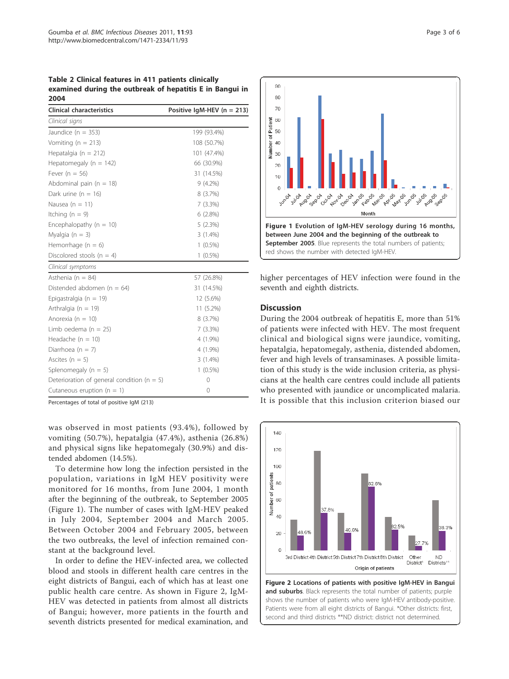Table 2 Clinical features in 411 patients clinically examined during the outbreak of hepatitis E in Bangui in 2004

| <b>Clinical characteristics</b>                | Positive IgM-HEV ( $n = 213$ ) |  |
|------------------------------------------------|--------------------------------|--|
| Clinical signs                                 |                                |  |
| Jaundice ( $n = 353$ )                         | 199 (93.4%)                    |  |
| Vomiting ( $n = 213$ )                         | 108 (50.7%)                    |  |
| Hepatalgia ( $n = 212$ )                       | 101 (47.4%)                    |  |
| Hepatomegaly ( $n = 142$ )                     | 66 (30.9%)                     |  |
| Fever ( $n = 56$ )                             | 31 (14.5%)                     |  |
| Abdominal pain ( $n = 18$ )                    | $9(4.2\%)$                     |  |
| Dark urine ( $n = 16$ )                        | 8 (3.7%)                       |  |
| Nausea ( $n = 11$ )                            | 7(3.3%)                        |  |
| Itching ( $n = 9$ )                            | 6(2.8%)                        |  |
| Encephalopathy ( $n = 10$ )                    | 5(2.3%)                        |  |
| Myalgia ( $n = 3$ )                            | $3(1.4\%)$                     |  |
| Hemorrhage ( $n = 6$ )                         | $1(0.5\%)$                     |  |
| Discolored stools ( $n = 4$ )                  | $1(0.5\%)$                     |  |
| Clinical symptoms                              |                                |  |
| Asthenia ( $n = 84$ )                          | 57 (26.8%)                     |  |
| Distended abdomen ( $n = 64$ )                 | 31 (14.5%)                     |  |
| Epigastralgia ( $n = 19$ )                     | 12 (5.6%)                      |  |
| Arthralgia ( $n = 19$ )                        | 11 (5.2%)                      |  |
| Anorexia ( $n = 10$ )                          | 8(3.7%)                        |  |
| Limb oedema ( $n = 25$ )                       | 7(3.3%)                        |  |
| Headache ( $n = 10$ )                          | 4 (1.9%)                       |  |
| Diarrhoea ( $n = 7$ )                          | 4 (1.9%)                       |  |
| Ascites ( $n = 5$ )                            | $3(1.4\%)$                     |  |
| Splenomegaly ( $n = 5$ )                       | $1(0.5\%)$                     |  |
| Deterioration of general condition ( $n = 5$ ) | $\circ$                        |  |
| Cutaneous eruption ( $n = 1$ )                 | 0                              |  |

Percentages of total of positive IgM (213)

was observed in most patients (93.4%), followed by vomiting (50.7%), hepatalgia (47.4%), asthenia (26.8%) and physical signs like hepatomegaly (30.9%) and distended abdomen (14.5%).

To determine how long the infection persisted in the population, variations in IgM HEV positivity were monitored for 16 months, from June 2004, 1 month after the beginning of the outbreak, to September 2005 (Figure 1). The number of cases with IgM-HEV peaked in July 2004, September 2004 and March 2005. Between October 2004 and February 2005, between the two outbreaks, the level of infection remained constant at the background level.

In order to define the HEV-infected area, we collected blood and stools in different health care centres in the eight districts of Bangui, each of which has at least one public health care centre. As shown in Figure 2, IgM-HEV was detected in patients from almost all districts of Bangui; however, more patients in the fourth and seventh districts presented for medical examination, and



higher percentages of HEV infection were found in the seventh and eighth districts.

#### **Discussion**

During the 2004 outbreak of hepatitis E, more than 51% of patients were infected with HEV. The most frequent clinical and biological signs were jaundice, vomiting, hepatalgia, hepatomegaly, asthenia, distended abdomen, fever and high levels of transaminases. A possible limitation of this study is the wide inclusion criteria, as physicians at the health care centres could include all patients who presented with jaundice or uncomplicated malaria. It is possible that this inclusion criterion biased our



and suburbs. Black represents the total number of patients; purple shows the number of patients who were IgM-HEV antibody-positive. Patients were from all eight districts of Bangui. \*Other districts: first, second and third districts \*\*ND district: district not determined.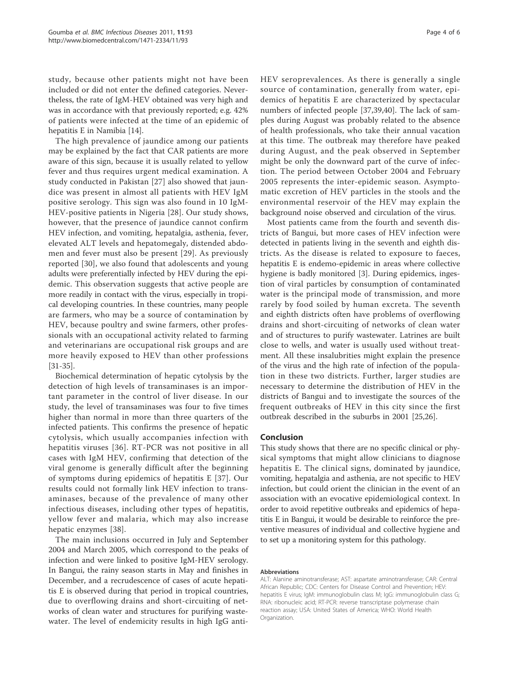study, because other patients might not have been included or did not enter the defined categories. Nevertheless, the rate of IgM-HEV obtained was very high and was in accordance with that previously reported; e.g. 42% of patients were infected at the time of an epidemic of hepatitis E in Namibia [14].

The high prevalence of jaundice among our patients may be explained by the fact that CAR patients are more aware of this sign, because it is usually related to yellow fever and thus requires urgent medical examination. A study conducted in Pakistan [27] also showed that jaundice was present in almost all patients with HEV IgM positive serology. This sign was also found in 10 IgM-HEV-positive patients in Nigeria [28]. Our study shows, however, that the presence of jaundice cannot confirm HEV infection, and vomiting, hepatalgia, asthenia, fever, elevated ALT levels and hepatomegaly, distended abdomen and fever must also be present [29]. As previously reported [30], we also found that adolescents and young adults were preferentially infected by HEV during the epidemic. This observation suggests that active people are more readily in contact with the virus, especially in tropical developing countries. In these countries, many people are farmers, who may be a source of contamination by HEV, because poultry and swine farmers, other professionals with an occupational activity related to farming and veterinarians are occupational risk groups and are more heavily exposed to HEV than other professions [31-35].

Biochemical determination of hepatic cytolysis by the detection of high levels of transaminases is an important parameter in the control of liver disease. In our study, the level of transaminases was four to five times higher than normal in more than three quarters of the infected patients. This confirms the presence of hepatic cytolysis, which usually accompanies infection with hepatitis viruses [36]. RT-PCR was not positive in all cases with IgM HEV, confirming that detection of the viral genome is generally difficult after the beginning of symptoms during epidemics of hepatitis E [37]. Our results could not formally link HEV infection to transaminases, because of the prevalence of many other infectious diseases, including other types of hepatitis, yellow fever and malaria, which may also increase hepatic enzymes [38].

The main inclusions occurred in July and September 2004 and March 2005, which correspond to the peaks of infection and were linked to positive IgM-HEV serology. In Bangui, the rainy season starts in May and finishes in December, and a recrudescence of cases of acute hepatitis E is observed during that period in tropical countries, due to overflowing drains and short-circuiting of networks of clean water and structures for purifying wastewater. The level of endemicity results in high IgG antiHEV seroprevalences. As there is generally a single source of contamination, generally from water, epidemics of hepatitis E are characterized by spectacular numbers of infected people [37,39,40]. The lack of samples during August was probably related to the absence of health professionals, who take their annual vacation at this time. The outbreak may therefore have peaked during August, and the peak observed in September might be only the downward part of the curve of infection. The period between October 2004 and February 2005 represents the inter-epidemic season. Asymptomatic excretion of HEV particles in the stools and the environmental reservoir of the HEV may explain the background noise observed and circulation of the virus.

Most patients came from the fourth and seventh districts of Bangui, but more cases of HEV infection were detected in patients living in the seventh and eighth districts. As the disease is related to exposure to faeces, hepatitis E is endemo-epidemic in areas where collective hygiene is badly monitored [3]. During epidemics, ingestion of viral particles by consumption of contaminated water is the principal mode of transmission, and more rarely by food soiled by human excreta. The seventh and eighth districts often have problems of overflowing drains and short-circuiting of networks of clean water and of structures to purify wastewater. Latrines are built close to wells, and water is usually used without treatment. All these insalubrities might explain the presence of the virus and the high rate of infection of the population in these two districts. Further, larger studies are necessary to determine the distribution of HEV in the districts of Bangui and to investigate the sources of the frequent outbreaks of HEV in this city since the first outbreak described in the suburbs in 2001 [25,26].

# Conclusion

This study shows that there are no specific clinical or physical symptoms that might allow clinicians to diagnose hepatitis E. The clinical signs, dominated by jaundice, vomiting, hepatalgia and asthenia, are not specific to HEV infection, but could orient the clinician in the event of an association with an evocative epidemiological context. In order to avoid repetitive outbreaks and epidemics of hepatitis E in Bangui, it would be desirable to reinforce the preventive measures of individual and collective hygiene and to set up a monitoring system for this pathology.

#### Abbreviations

ALT: Alanine aminotransferase; AST: aspartate aminotransferase; CAR: Central African Republic; CDC: Centers for Disease Control and Prevention; HEV: hepatitis E virus; IgM: immunoglobulin class M; IgG: immunoglobulin class G; RNA: ribonucleic acid; RT-PCR: reverse transcriptase polymerase chain reaction assay; USA: United States of America; WHO: World Health Organization.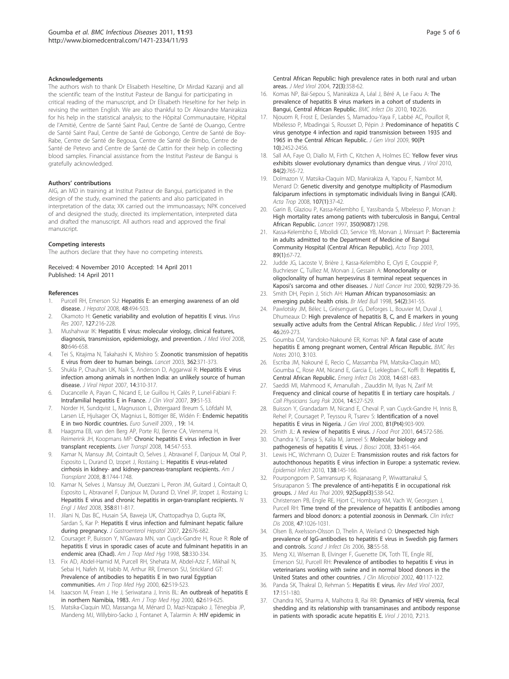#### Acknowledgements

The authors wish to thank Dr Elisabeth Heseltine, Dr Mirdad Kazanji and all the scientific team of the Institut Pasteur de Bangui for participating in critical reading of the manuscript, and Dr Elisabeth Heseltine for her help in revising the written English. We are also thankful to Dr Alexandre Manirakiza for his help in the statistical analysis; to the Hôpital Communautaire, Hôpital de l'Amitié, Centre de Santé Saint Paul, Centre de Santé de Ouango, Centre de Santé Saint Paul, Centre de Santé de Gobongo, Centre de Santé de Boy-Rabe, Centre de Santé de Begoua, Centre de Santé de Bimbo, Centre de Santé de Petevo and Centre de Santé de Cattin for their help in collecting blood samples. Financial assistance from the Institut Pasteur de Bangui is gratefully acknowledged.

#### Authors' contributions

AIG, an MD in training at Institut Pasteur de Bangui, participated in the design of the study, examined the patients and also participated in interpretation of the data; XK carried out the immunoassays; NPK conceived of and designed the study, directed its implementation, interpreted data and drafted the manuscript. All authors read and approved the final manuscript.

#### Competing interests

The authors declare that they have no competing interests.

Received: 4 November 2010 Accepted: 14 April 2011 Published: 14 April 2011

#### References

- 1. Purcell RH, Emerson SU: Hepatitis E: an emerging awareness of an old disease. *J Hepatol* 2008, 48:494-503.
- Okamoto H: Genetic variability and evolution of hepatitis E virus. Virus Res 2007, 127:216-228.
- 3. Mushahwar IK: Hepatitis E virus: molecular virology, clinical features, diagnosis, transmission, epidemiology, and prevention. J Med Virol 2008, 80:646-658.
- 4. Tei S, Kitajima N, Takahashi K, Mishiro S: Zoonotic transmission of hepatitis E virus from deer to human beings. Lancet 2003, 362:371-373.
- 5. Shukla P, Chauhan UK, Naik S, Anderson D, Aggarwal R: Hepatitis E virus infection among animals in northen India: an unlikely source of human disease. J Viral Hepat 2007, 14:310-317.
- 6. Ducancelle A, Payan C, Nicand E, Le Guillou H, Calès P, Lunel-Fabiani F: Intrafamilial hepatitis E in France. J Clin Virol 2007, 39:51-53.
- 7. Norder H, Sundqvist L, Magnusson L, Østergaard Breum S, Löfdahl M, Larsen LE, Hjulsager CK, Magnius L, Böttiger BE, Widén F: Endemic hepatitis E in two Nordic countries. Euro Surveill 2009, , 19: 14.
- 8. Haagsma EB, van den Berg AP, Porte RJ, Benne CA, Vennema H, Reimerink JH, Koopmans MP: Chronic hepatitis E virus infection in liver transplant recepients. Liver Transpl 2008, 14:547-553.
- 9. Kamar N, Mansuy JM, Cointault O, Selves J, Abravanel F, Danjoux M, Otal P, Esposito L, Durand D, Izopet J, Rostaing L: Hepatitis E virus-related cirrhosis in kidney- and kidney-pancreas-transplant recipients. Am J Transplant 2008, 8:1744-1748.
- 10. Kamar N, Selves J, Mansuy JM, Ouezzani L, Peron JM, Guitard J, Cointault O, Esposito L, Abravanel F, Danjoux M, Durand D, Vinel JP, Izopet J, Rostaing L: Hepatitis E virus and chronic hepatitis in organ-transplant recipients.  $N$ Engl J Med 2008, 358:811-817.
- 11. Jilani N, Das BC, Husain SA, Baweja UK, Chattopadhya D, Gupta RK, Sardan S, Kar P: Hepatitis E virus infection and fulminant hepatic failure during pregnancy. J Gastroenterol Hepatol 2007, 22:676-682.
- 12. Coursaget P, Buisson Y, N'Gawara MN, van Cuyck-Gandre H, Roue R: Role of hepatitis E virus in sporadic cases of acute and fulminant hepatitis in an endemic area (Chad). Am J Trop Med Hyg 1998, 58:330-334.
- 13. Fix AD, Abdel-Hamid M, Purcell RH, Shehata M, Abdel-Aziz F, Mikhail N, Sebai H, Nafeh M, Habib M, Arthur RR, Emerson SU, Strickland GT: Prevalence of antibodies to hepatitis E in two rural Egyptian communities. Am J Trop Med Hyg 2000, 62:519-523.
- 14. Isaacson M, Frean J, He J, Seriwatana J, Innis BL: An outbreak of hepatitis E in northern Namibia, 1983. Am J Trop Med Hyg 2000, 62:619-625.
- 15. Matsika-Claquin MD, Massanga M, Ménard D, Mazi-Nzapako J, Ténegbia JP, Mandeng MJ, Willybiro-Sacko J, Fontanet A, Talarmin A: HIV epidemic in

Central African Republic: high prevalence rates in both rural and urban areas. J Med Virol 2004, 72(3):358-62.

- 16. Komas NP, Baï-Sepou S, Manirakiza A, Léal J, Béré A, Le Faou A: The prevalence of hepatitis B virus markers in a cohort of students in Bangui, Central African Republic. BMC Infect Dis 2010, 10:226.
- 17. Njouom R, Frost E, Deslandes S, Mamadou-Yaya F, Labbé AC, Pouillot R, Mbélesso P, Mbadingai S, Rousset D, Pépin J: Predominance of hepatitis C virus genotype 4 infection and rapid transmission between 1935 and 1965 in the Central African Republic. J Gen Virol 2009, 90(Pt 10):2452-2456.
- 18. Sall AA, Faye O, Diallo M, Firth C, Kitchen A, Holmes EC: Yellow fever virus exhibits slower evolutionary dynamics than dengue virus. J Virol 2010, 84(2):765-72.
- 19. Dolmazon V, Matsika-Claquin MD, Manirakiza A, Yapou F, Nambot M, Menard D: Genetic diversity and genotype multiplicity of Plasmodium falciparum infections in symptomatic individuals living in Bangui (CAR). Acta Trop 2008, 107(1):37-42.
- 20. Garin B, Glaziou P, Kassa-Kelembho E, Yassibanda S, Mbelesso P, Morvan J: High mortality rates among patients with tuberculosis in Bangui, Central African Republic. Lancet 1997, 350(9087):1298.
- 21. Kassa-Kelembho E, Mbolidi CD, Service YB, Morvan J, Minssart P: Bacteremia in adults admitted to the Department of Medicine of Bangui Community Hospital (Central African Republic). Acta Trop 2003, 89(1):67-72.
- 22. Judde JG, Lacoste V, Brière J, Kassa-Kelembho E, Clyti E, Couppié P, Buchrieser C, Tulliez M, Morvan J, Gessain A: Monoclonality or oligoclonality of human herpesvirus 8 terminal repeat sequences in Kaposi's sarcoma and other diseases. J Natl Cancer Inst 2000, 92(9):729-36.
- 23. Smith DH, Pepin J, Stich AH: Human African trypanosomiasis: an emerging public health crisis. Br Med Bull 1998, 54(2):341-55.
- 24. Pawlotsky JM, Bélec L, Grésenguet G, Deforges L, Bouvier M, Duval J, Dhumeaux D: High prevalence of hepatitis B, C, and E markers in young sexually active adults from the Central African Republic. J Med Virol 1995, 46:269-273.
- 25. Goumba CM, Yandoko-Nakouné ER, Komas NP: A fatal case of acute hepatitis E among pregnant women, Central African Republic. BMC Res Notes 2010, 3:103.
- 26. Escriba JM, Nakouné E, Recio C, Massamba PM, Matsika-Claquin MD, Goumba C, Rose AM, Nicand E, Garcia E, Leklegban C, Koffi B: Hepatitis E, Central African Republic. Emerg Infect Dis 2008, 14:681-683.
- 27. Saeddi MI, Mahmood K, Amanullah , Ziauddin M, Ilyas N, Zarif M: Frequency and clinical course of hepatitis E in tertiary care hospitals. J Coll Physicians Surg Pak 2004, 14:527-529.
- 28. Buisson Y, Grandadam M, Nicand E, Cheval P, van Cuyck-Gandre H, Innis B, Rehel P, Coursaget P, Teyssou R, Tsarev S: Identification of a novel hepatitis E virus in Nigeria. J Gen Virol 2000, 81(Pt4):903-909
- 29. Smith JL: A review of hepatitis E virus. J Food Prot 2001, 64:572-586.
- 30. Chandra V, Taneja S, Kalia M, Jameel S: Molecular biology and pathogenesis of hepatitis E virus. J Biosci 2008, 33:451-464
- 31. Lewis HC, Wichmann O, Duizer E: Transmission routes and risk factors for autochthonous hepatitis E virus infection in Europe: a systematic review. Epidemiol Infect 2010, 138:145-166.
- 32. Pourpongporn P, Samransurp K, Rojanasang P, Wiwattanakul S, Srisurapanon S: The prevalence of anti-hepatitis E in occupational risk groups. J Med Ass Thai 2009, 92(Suppl3):S38-S42.
- 33. Christensen PB, Engle RE, Hjort C, Homburg KM, Vach W, Georgsen J, Purcell RH: Time trend of the prevalence of hepatitis E antibodies among farmers and blood donors: a potential zoonosis in Denmark. Clin Infect Dis 2008, 47:1026-1031.
- 34. Olsen B, Axelsson-Olsson D, Thelin A, Weiland O: Unexpected high prevalence of IgG-antibodies to hepatitis E virus in Swedish pig farmers and controls. Scand J Infect Dis 2006, 38:55-58.
- 35. Meng XJ, Wiseman B, Elvinger F, Guenette DK, Toth TE, Engle RE, Emerson SU, Purcell RH: Prevalence of antibodies to hepatitis E virus in veterinarians working with swine and in normal blood donors in the United States and other countries. J Clin Microbiol 2002, 40:117-122.
- 36. Panda SK, Thakral D, Rehman S: Hepatitis E virus. Rev Med Virol 2007, 17:151-180.
- 37. Chandra NS, Sharma A, Malhotra B, Rai RR: Dynamics of HEV viremia, fecal shedding and its relationship with transaminases and antibody response in patients with sporadic acute hepatitis E. Virol J 2010, 7:213.